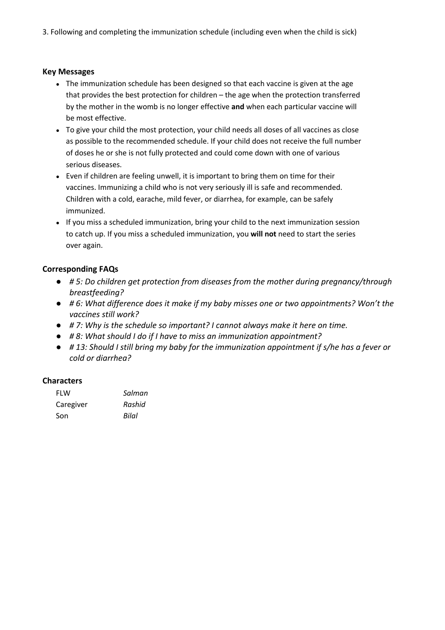3. Following and completing the immunization schedule (including even when the child is sick)

## **Key Messages**

- The immunization schedule has been designed so that each vaccine is given at the age that provides the best protection for children – the age when the protection transferred by the mother in the womb is no longer effective **and** when each particular vaccine will be most effective.
- To give your child the most protection, your child needs all doses of all vaccines as close as possible to the recommended schedule. If your child does not receive the full number of doses he or she is not fully protected and could come down with one of various serious diseases.
- Even if children are feeling unwell, it is important to bring them on time for their vaccines. Immunizing a child who is not very seriously ill is safe and recommended. Children with a cold, earache, mild fever, or diarrhea, for example, can be safely immunized.
- If you miss a scheduled immunization, bring your child to the next immunization session to catch up. If you miss a scheduled immunization, you **will not** need to start the series over again.

## **Corresponding FAQs**

- *# 5: Do children get protection from diseases from the mother during pregnancy/through breastfeeding?*
- *# 6: What difference does it make if my baby misses one or two appointments? Won't the vaccines still work?*
- *# 7: Why is the schedule so important? I cannot always make it here on time.*
- *# 8: What should I do if I have to miss an immunization appointment?*
- *# 13: Should I still bring my baby for the immunization appointment if s/he has a fever or cold or diarrhea?*

## **Characters**

| <b>FLW</b> | Salman |
|------------|--------|
| Caregiver  | Rashid |
| Son        | Bilal  |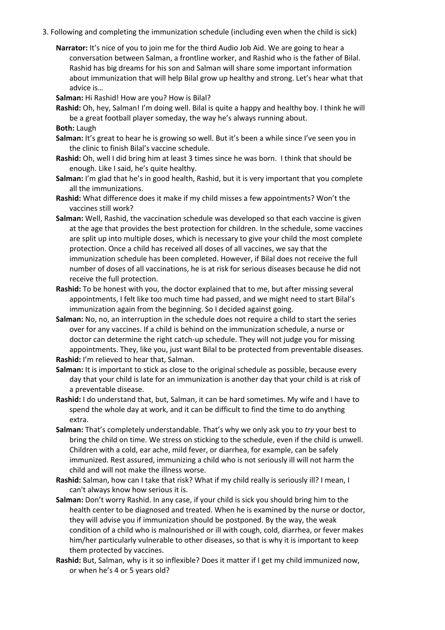- 3. Following and completing the immunization schedule (including even when the child is sick)
	- **Narrator:** It's nice of you to join me for the third Audio Job Aid. We are going to hear a conversation between Salman, a frontline worker, and Rashid who is the father of Bilal. Rashid has big dreams for his son and Salman will share some important information about immunization that will help Bilal grow up healthy and strong. Let's hear what that advice is…

**Salman:** Hi Rashid! How are you? How is Bilal?

**Rashid:** Oh, hey, Salman! I'm doing well. Bilal is quite a happy and healthy boy. I think he will be a great football player someday, the way he's always running about.

**Both:** Laugh

- **Salman:** It's great to hear he is growing so well. But it's been a while since I've seen you in the clinic to finish Bilal's vaccine schedule.
- **Rashid:** Oh, well I did bring him at least 3 times since he was born. I think that should be enough. Like I said, he's quite healthy.
- **Salman:** I'm glad that he's in good health, Rashid, but it is very important that you complete all the immunizations.
- **Rashid:** What difference does it make if my child misses a few appointments? Won't the vaccines still work?
- **Salman:** Well, Rashid, the vaccination schedule was developed so that each vaccine is given at the age that provides the best protection for children. In the schedule, some vaccines are split up into multiple doses, which is necessary to give your child the most complete protection. Once a child has received all doses of all vaccines, we say that the immunization schedule has been completed. However, if Bilal does not receive the full number of doses of all vaccinations, he is at risk for serious diseases because he did not receive the full protection.
- **Rashid:** To be honest with you, the doctor explained that to me, but after missing several appointments, I felt like too much time had passed, and we might need to start Bilal's immunization again from the beginning. So I decided against going.
- **Salman:** No, no, an interruption in the schedule does not require a child to start the series over for any vaccines. If a child is behind on the immunization schedule, a nurse or doctor can determine the right catch-up schedule. They will not judge you for missing appointments. They, like you, just want Bilal to be protected from preventable diseases. **Rashid:** I'm relieved to hear that, Salman.
- **Salman:** It is important to stick as close to the original schedule as possible, because every day that your child is late for an immunization is another day that your child is at risk of a preventable disease.
- **Rashid:** I do understand that, but, Salman, it can be hard sometimes. My wife and I have to spend the whole day at work, and it can be difficult to find the time to do anything extra.
- **Salman:** That's completely understandable. That's why we only ask you to *try* your best to bring the child on time. We stress on sticking to the schedule, even if the child is unwell. Children with a cold, ear ache, mild fever, or diarrhea, for example, can be safely immunized. Rest assured, immunizing a child who is not seriously ill will not harm the child and will not make the illness worse.
- **Rashid:** Salman, how can I take that risk? What if my child really is seriously ill? I mean, I can't always know how serious it is.
- **Salman:** Don't worry Rashid. In any case, if your child is sick you should bring him to the health center to be diagnosed and treated. When he is examined by the nurse or doctor, they will advise you if immunization should be postponed. By the way, the weak condition of a child who is malnourished or ill with cough, cold, diarrhea, or fever makes him/her particularly vulnerable to other diseases, so that is why it is important to keep them protected by vaccines.
- **Rashid:** But, Salman, why is it so inflexible? Does it matter if I get my child immunized now, or when he's 4 or 5 years old?